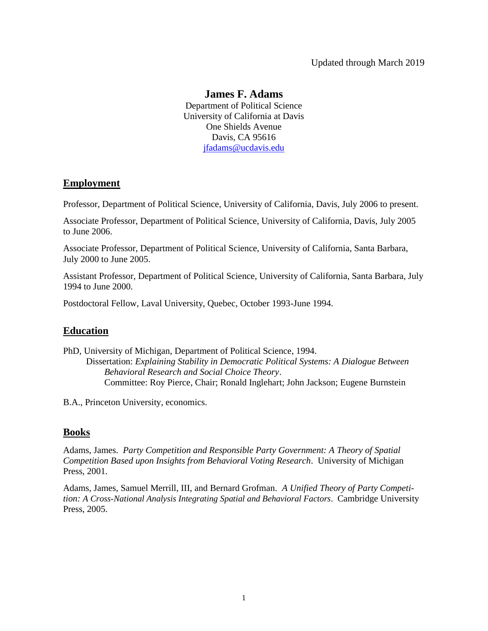## Updated through March 2019

## **James F. Adams**

Department of Political Science University of California at Davis One Shields Avenue Davis, CA 95616 [jfadams@ucdavis.edu](mailto:jfadams@ucdavis.edu)

## **Employment**

Professor, Department of Political Science, University of California, Davis, July 2006 to present.

Associate Professor, Department of Political Science, University of California, Davis, July 2005 to June 2006.

Associate Professor, Department of Political Science, University of California, Santa Barbara, July 2000 to June 2005.

Assistant Professor, Department of Political Science, University of California, Santa Barbara, July 1994 to June 2000.

Postdoctoral Fellow, Laval University, Quebec, October 1993-June 1994.

## **Education**

PhD, University of Michigan, Department of Political Science, 1994. Dissertation: *Explaining Stability in Democratic Political Systems: A Dialogue Between Behavioral Research and Social Choice Theory*. Committee: Roy Pierce, Chair; Ronald Inglehart; John Jackson; Eugene Burnstein

B.A., Princeton University, economics.

## **Books**

Adams, James. *Party Competition and Responsible Party Government: A Theory of Spatial Competition Based upon Insights from Behavioral Voting Research*. University of Michigan Press, 2001.

Adams, James, Samuel Merrill, III, and Bernard Grofman. *A Unified Theory of Party Competition: A Cross-National Analysis Integrating Spatial and Behavioral Factors*. Cambridge University Press, 2005.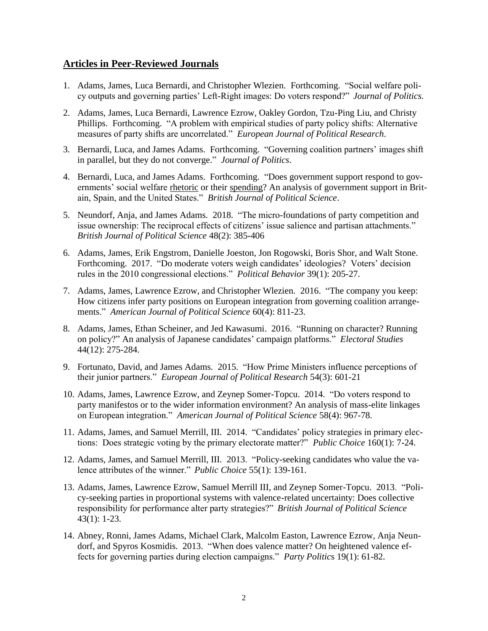## **Articles in Peer-Reviewed Journals**

- 1. Adams, James, Luca Bernardi, and Christopher Wlezien. Forthcoming. "Social welfare policy outputs and governing parties' Left-Right images: Do voters respond?" *Journal of Politics.*
- 2. Adams, James, Luca Bernardi, Lawrence Ezrow, Oakley Gordon, Tzu-Ping Liu, and Christy Phillips. Forthcoming. "A problem with empirical studies of party policy shifts: Alternative measures of party shifts are uncorrelated." *European Journal of Political Research*.
- 3. Bernardi, Luca, and James Adams. Forthcoming. "Governing coalition partners' images shift in parallel, but they do not converge." *Journal of Politics*.
- 4. Bernardi, Luca, and James Adams. Forthcoming. "Does government support respond to governments' social welfare rhetoric or their spending? An analysis of government support in Britain, Spain, and the United States." *British Journal of Political Science*.
- 5. Neundorf, Anja, and James Adams. 2018. "The micro-foundations of party competition and issue ownership: The reciprocal effects of citizens' issue salience and partisan attachments." *British Journal of Political Science* 48(2): 385-406
- 6. Adams, James, Erik Engstrom, Danielle Joeston, Jon Rogowski, Boris Shor, and Walt Stone. Forthcoming. 2017. "Do moderate voters weigh candidates' ideologies? Voters' decision rules in the 2010 congressional elections." *Political Behavior* 39(1): 205-27.
- 7. Adams, James, Lawrence Ezrow, and Christopher Wlezien. 2016. "The company you keep: How citizens infer party positions on European integration from governing coalition arrangements." *American Journal of Political Science* 60(4): 811-23.
- 8. Adams, James, Ethan Scheiner, and Jed Kawasumi. 2016. "Running on character? Running on policy?" An analysis of Japanese candidates' campaign platforms." *Electoral Studies* 44(12): 275-284.
- 9. Fortunato, David, and James Adams. 2015. "How Prime Ministers influence perceptions of their junior partners." *European Journal of Political Research* 54(3): 601-21
- 10. Adams, James, Lawrence Ezrow, and Zeynep Somer-Topcu. 2014. "Do voters respond to party manifestos or to the wider information environment? An analysis of mass-elite linkages on European integration." *American Journal of Political Science* 58(4): 967-78.
- 11. Adams, James, and Samuel Merrill, III. 2014. "Candidates' policy strategies in primary elections: Does strategic voting by the primary electorate matter?" *Public Choice* 160(1): 7-24.
- 12. Adams, James, and Samuel Merrill, III. 2013. "Policy-seeking candidates who value the valence attributes of the winner." *Public Choice* 55(1): 139-161.
- 13. Adams, James, Lawrence Ezrow, Samuel Merrill III, and Zeynep Somer-Topcu. 2013. "Policy-seeking parties in proportional systems with valence-related uncertainty: Does collective responsibility for performance alter party strategies?" *British Journal of Political Science* 43(1): 1-23.
- 14. Abney, Ronni, James Adams, Michael Clark, Malcolm Easton, Lawrence Ezrow, Anja Neundorf, and Spyros Kosmidis. 2013. "When does valence matter? On heightened valence effects for governing parties during election campaigns." *Party Politic*s 19(1): 61-82.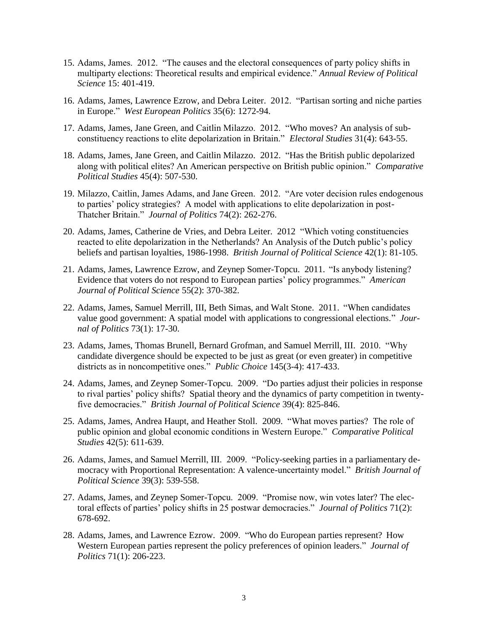- 15. Adams, James. 2012. "The causes and the electoral consequences of party policy shifts in multiparty elections: Theoretical results and empirical evidence." *Annual Review of Political Science* 15: 401-419.
- 16. Adams, James, Lawrence Ezrow, and Debra Leiter. 2012. "Partisan sorting and niche parties in Europe." *West European Politics* 35(6): 1272-94.
- 17. Adams, James, Jane Green, and Caitlin Milazzo. 2012. "Who moves? An analysis of subconstituency reactions to elite depolarization in Britain." *Electoral Studies* 31(4): 643-55.
- 18. Adams, James, Jane Green, and Caitlin Milazzo. 2012. "Has the British public depolarized along with political elites? An American perspective on British public opinion." *Comparative Political Studies* 45(4): 507-530.
- 19. Milazzo, Caitlin, James Adams, and Jane Green. 2012. "Are voter decision rules endogenous to parties' policy strategies? A model with applications to elite depolarization in post-Thatcher Britain." *Journal of Politics* 74(2): 262-276.
- 20. Adams, James, Catherine de Vries, and Debra Leiter. 2012 "Which voting constituencies reacted to elite depolarization in the Netherlands? An Analysis of the Dutch public's policy beliefs and partisan loyalties, 1986-1998. *British Journal of Political Science* 42(1): 81-105.
- 21. Adams, James, Lawrence Ezrow, and Zeynep Somer-Topcu. 2011. "Is anybody listening? Evidence that voters do not respond to European parties' policy programmes." *American Journal of Political Science* 55(2): 370-382.
- 22. Adams, James, Samuel Merrill, III, Beth Simas, and Walt Stone. 2011. "When candidates value good government: A spatial model with applications to congressional elections." *Journal of Politics* 73(1): 17-30.
- 23. Adams, James, Thomas Brunell, Bernard Grofman, and Samuel Merrill, III. 2010. "Why candidate divergence should be expected to be just as great (or even greater) in competitive districts as in noncompetitive ones." *Public Choice* 145(3-4): 417-433.
- 24. Adams, James, and Zeynep Somer-Topcu. 2009. "Do parties adjust their policies in response to rival parties' policy shifts? Spatial theory and the dynamics of party competition in twentyfive democracies." *British Journal of Political Science* 39(4): 825-846.
- 25. Adams, James, Andrea Haupt, and Heather Stoll. 2009. "What moves parties? The role of public opinion and global economic conditions in Western Europe." *Comparative Political Studies* 42(5): 611-639.
- 26. Adams, James, and Samuel Merrill, III. 2009. "Policy-seeking parties in a parliamentary democracy with Proportional Representation: A valence-uncertainty model." *British Journal of Political Science* 39(3): 539-558.
- 27. Adams, James, and Zeynep Somer-Topcu. 2009. "Promise now, win votes later? The electoral effects of parties' policy shifts in 25 postwar democracies." *Journal of Politics* 71(2): 678-692.
- 28. Adams, James, and Lawrence Ezrow. 2009. "Who do European parties represent? How Western European parties represent the policy preferences of opinion leaders." *Journal of Politics* 71(1): 206-223.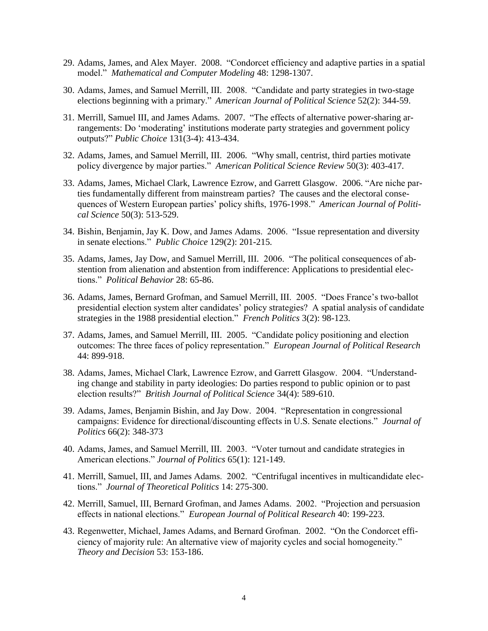- 29. Adams, James, and Alex Mayer. 2008. "Condorcet efficiency and adaptive parties in a spatial model." *Mathematical and Computer Modeling* 48: 1298-1307.
- 30. Adams, James, and Samuel Merrill, III. 2008. "Candidate and party strategies in two-stage elections beginning with a primary." *American Journal of Political Science* 52(2): 344-59.
- 31. Merrill, Samuel III, and James Adams. 2007. "The effects of alternative power-sharing arrangements: Do 'moderating' institutions moderate party strategies and government policy outputs?" *Public Choice* 131(3-4): 413-434.
- 32. Adams, James, and Samuel Merrill, III. 2006. "Why small, centrist, third parties motivate policy divergence by major parties." *American Political Science Review* 50(3): 403-417.
- 33. Adams, James, Michael Clark, Lawrence Ezrow, and Garrett Glasgow. 2006. "Are niche parties fundamentally different from mainstream parties? The causes and the electoral consequences of Western European parties' policy shifts, 1976-1998." *American Journal of Political Science* 50(3): 513-529.
- 34. Bishin, Benjamin, Jay K. Dow, and James Adams. 2006. "Issue representation and diversity in senate elections." *Public Choice* 129(2): 201-215.
- 35. Adams, James, Jay Dow, and Samuel Merrill, III. 2006. "The political consequences of abstention from alienation and abstention from indifference: Applications to presidential elections." *Political Behavior* 28: 65-86.
- 36. Adams, James, Bernard Grofman, and Samuel Merrill, III. 2005. "Does France's two-ballot presidential election system alter candidates' policy strategies? A spatial analysis of candidate strategies in the 1988 presidential election." *French Politics* 3(2): 98-123.
- 37. Adams, James, and Samuel Merrill, III. 2005. "Candidate policy positioning and election outcomes: The three faces of policy representation." *European Journal of Political Research* 44: 899-918.
- 38. Adams, James, Michael Clark, Lawrence Ezrow, and Garrett Glasgow. 2004. "Understanding change and stability in party ideologies: Do parties respond to public opinion or to past election results?" *British Journal of Political Science* 34(4): 589-610.
- 39. Adams, James, Benjamin Bishin, and Jay Dow. 2004. "Representation in congressional campaigns: Evidence for directional/discounting effects in U.S. Senate elections." *Journal of Politics* 66(2): 348-373
- 40. Adams, James, and Samuel Merrill, III. 2003. "Voter turnout and candidate strategies in American elections." *Journal of Politics* 65(1): 121-149.
- 41. Merrill, Samuel, III, and James Adams. 2002. "Centrifugal incentives in multicandidate elections." *Journal of Theoretical Politics* 14: 275-300.
- 42. Merrill, Samuel, III, Bernard Grofman, and James Adams. 2002. "Projection and persuasion effects in national elections." *European Journal of Political Research* 40: 199-223.
- 43. Regenwetter, Michael, James Adams, and Bernard Grofman. 2002. "On the Condorcet efficiency of majority rule: An alternative view of majority cycles and social homogeneity." *Theory and Decision* 53: 153-186.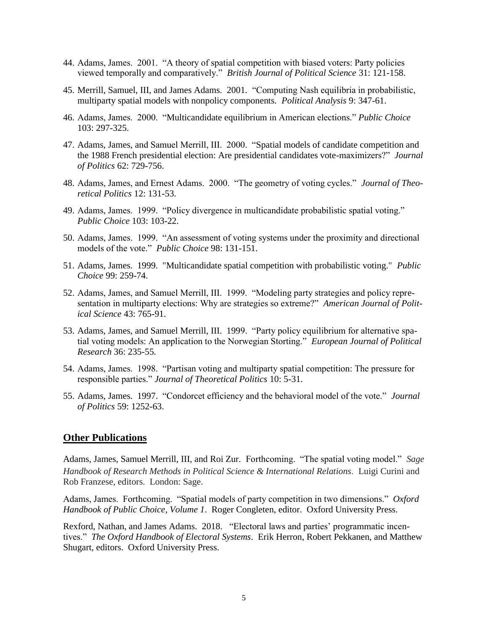- 44. Adams, James. 2001. "A theory of spatial competition with biased voters: Party policies viewed temporally and comparatively." *British Journal of Political Science* 31: 121-158.
- 45. Merrill, Samuel, III, and James Adams. 2001. "Computing Nash equilibria in probabilistic, multiparty spatial models with nonpolicy components. *Political Analysis* 9: 347-61.
- 46. Adams, James. 2000. "Multicandidate equilibrium in American elections." *Public Choice* 103: 297-325.
- 47. Adams, James, and Samuel Merrill, III. 2000. "Spatial models of candidate competition and the 1988 French presidential election: Are presidential candidates vote-maximizers?" *Journal of Politics* 62: 729-756.
- 48. Adams, James, and Ernest Adams. 2000. "The geometry of voting cycles." *Journal of Theoretical Politics* 12: 131-53.
- 49. Adams, James. 1999. "Policy divergence in multicandidate probabilistic spatial voting." *Public Choice* 103: 103-22.
- 50. Adams, James. 1999. "An assessment of voting systems under the proximity and directional models of the vote." *Public Choice* 98: 131-151.
- 51. Adams, James. 1999. "Multicandidate spatial competition with probabilistic voting." *Public Choice* 99: 259-74.
- 52. Adams, James, and Samuel Merrill, III. 1999. "Modeling party strategies and policy representation in multiparty elections: Why are strategies so extreme?" *American Journal of Political Science* 43: 765-91.
- 53. Adams, James, and Samuel Merrill, III. 1999. "Party policy equilibrium for alternative spatial voting models: An application to the Norwegian Storting." *European Journal of Political Research* 36: 235-55.
- 54. Adams, James. 1998. "Partisan voting and multiparty spatial competition: The pressure for responsible parties." *Journal of Theoretical Politics* 10: 5-31.
- 55. Adams, James. 1997. "Condorcet efficiency and the behavioral model of the vote." *Journal of Politics* 59: 1252-63.

#### **Other Publications**

Adams, James, Samuel Merrill, III, and Roi Zur. Forthcoming. "The spatial voting model." *Sage Handbook of Research Methods in Political Science & International Relations*. Luigi Curini and Rob Franzese, editors. London: Sage.

Adams, James. Forthcoming. "Spatial models of party competition in two dimensions." *Oxford Handbook of Public Choice, Volume 1*. Roger Congleten, editor. Oxford University Press.

Rexford, Nathan, and James Adams. 2018. "Electoral laws and parties' programmatic incentives." *The Oxford Handbook of Electoral Systems*. Erik Herron, Robert Pekkanen, and Matthew Shugart, editors. Oxford University Press.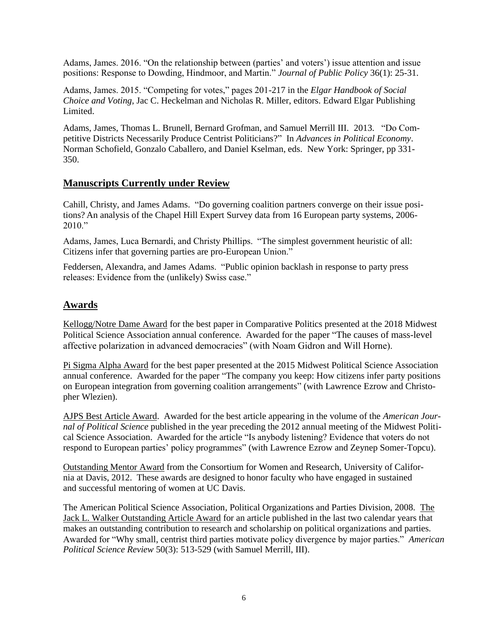Adams, James. 2016. "On the relationship between (parties' and voters') issue attention and issue positions: Response to Dowding, Hindmoor, and Martin." *Journal of Public Policy* 36(1): 25-31.

Adams, James. 2015. "Competing for votes," pages 201-217 in the *Elgar Handbook of Social Choice and Voting*, Jac C. Heckelman and Nicholas R. Miller, editors. Edward Elgar Publishing Limited.

Adams, James, Thomas L. Brunell, Bernard Grofman, and Samuel Merrill III. 2013. "Do Competitive Districts Necessarily Produce Centrist Politicians?" In *Advances in Political Economy*. Norman Schofield, Gonzalo Caballero, and Daniel Kselman, eds. New York: Springer, pp 331- 350.

# **Manuscripts Currently under Review**

Cahill, Christy, and James Adams. "Do governing coalition partners converge on their issue positions? An analysis of the Chapel Hill Expert Survey data from 16 European party systems, 2006- 2010."

Adams, James, Luca Bernardi, and Christy Phillips. "The simplest government heuristic of all: Citizens infer that governing parties are pro-European Union."

Feddersen, Alexandra, and James Adams. "Public opinion backlash in response to party press releases: Evidence from the (unlikely) Swiss case."

## **Awards**

Kellogg/Notre Dame Award for the best paper in Comparative Politics presented at the 2018 Midwest Political Science Association annual conference. Awarded for the paper "The causes of mass-level affective polarization in advanced democracies" (with Noam Gidron and Will Horne).

Pi Sigma Alpha Award for the best paper presented at the 2015 Midwest Political Science Association annual conference. Awarded for the paper "The company you keep: How citizens infer party positions on European integration from governing coalition arrangements" (with Lawrence Ezrow and Christopher Wlezien).

AJPS Best Article Award. Awarded for the best article appearing in the volume of the *American Journal of Political Science* published in the year preceding the 2012 annual meeting of the Midwest Political Science Association. Awarded for the article "Is anybody listening? Evidence that voters do not respond to European parties' policy programmes" (with Lawrence Ezrow and Zeynep Somer-Topcu).

Outstanding Mentor Award from the Consortium for Women and Research, University of California at Davis, 2012. These awards are designed to honor faculty who have engaged in sustained and successful mentoring of women at UC Davis.

The American Political Science Association, Political Organizations and Parties Division, 2008. The Jack L. Walker Outstanding Article Award for an article published in the last two calendar years that makes an outstanding contribution to research and scholarship on political organizations and parties. Awarded for "Why small, centrist third parties motivate policy divergence by major parties." *American Political Science Review* 50(3): 513-529 (with Samuel Merrill, III).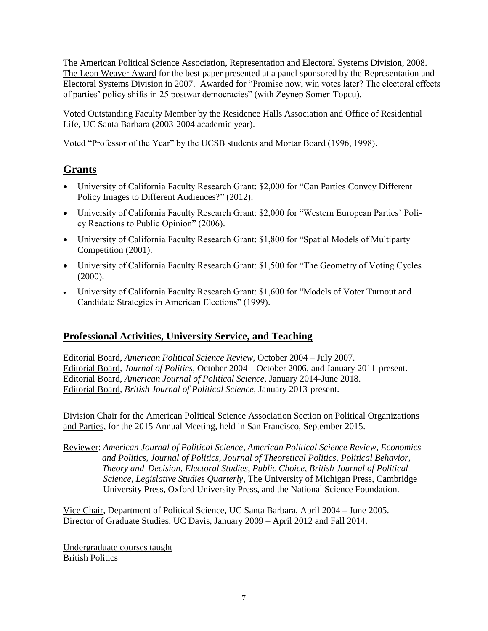The American Political Science Association, Representation and Electoral Systems Division, 2008. The Leon Weaver Award for the best paper presented at a panel sponsored by the Representation and Electoral Systems Division in 2007. Awarded for "Promise now, win votes later? The electoral effects of parties' policy shifts in 25 postwar democracies" (with Zeynep Somer-Topcu).

Voted Outstanding Faculty Member by the Residence Halls Association and Office of Residential Life, UC Santa Barbara (2003-2004 academic year).

Voted "Professor of the Year" by the UCSB students and Mortar Board (1996, 1998).

# **Grants**

- University of California Faculty Research Grant: \$2,000 for "Can Parties Convey Different Policy Images to Different Audiences?" (2012).
- University of California Faculty Research Grant: \$2,000 for "Western European Parties' Policy Reactions to Public Opinion" (2006).
- University of California Faculty Research Grant: \$1,800 for "Spatial Models of Multiparty Competition (2001).
- University of California Faculty Research Grant: \$1,500 for "The Geometry of Voting Cycles (2000).
- University of California Faculty Research Grant: \$1,600 for "Models of Voter Turnout and Candidate Strategies in American Elections" (1999).

# **Professional Activities, University Service, and Teaching**

Editorial Board, *American Political Science Review*, October 2004 – July 2007. Editorial Board, *Journal of Politics*, October 2004 – October 2006, and January 2011-present. Editorial Board, *American Journal of Political Science,* January 2014-June 2018. Editorial Board, *British Journal of Political Science,* January 2013-present.

Division Chair for the American Political Science Association Section on Political Organizations and Parties, for the 2015 Annual Meeting, held in San Francisco, September 2015.

Reviewer: *American Journal of Political Science*, *American Political Science Review*, *Economics and Politics*, *Journal of Politics*, *Journal of Theoretical Politics*, *Political Behavior*,  *Theory and Decision*, *Electoral Studies*, *Public Choice*, *British Journal of Political Science*, *Legislative Studies Quarterly*, The University of Michigan Press, Cambridge University Press, Oxford University Press, and the National Science Foundation.

Vice Chair, Department of Political Science, UC Santa Barbara, April 2004 – June 2005. Director of Graduate Studies, UC Davis, January 2009 – April 2012 and Fall 2014.

Undergraduate courses taught British Politics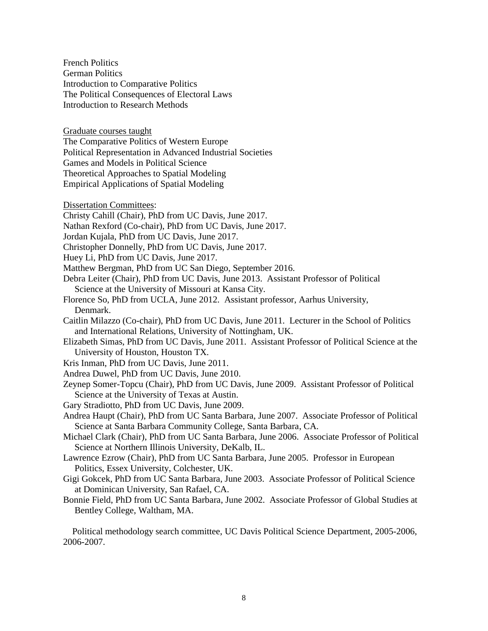French Politics German Politics Introduction to Comparative Politics The Political Consequences of Electoral Laws Introduction to Research Methods

Graduate courses taught

The Comparative Politics of Western Europe Political Representation in Advanced Industrial Societies Games and Models in Political Science Theoretical Approaches to Spatial Modeling

- Empirical Applications of Spatial Modeling
- Dissertation Committees:
- Christy Cahill (Chair), PhD from UC Davis, June 2017.
- Nathan Rexford (Co-chair), PhD from UC Davis, June 2017.
- Jordan Kujala, PhD from UC Davis, June 2017.
- Christopher Donnelly, PhD from UC Davis, June 2017.
- Huey Li, PhD from UC Davis, June 2017.
- Matthew Bergman, PhD from UC San Diego, September 2016.
- Debra Leiter (Chair), PhD from UC Davis, June 2013. Assistant Professor of Political Science at the University of Missouri at Kansa City.
- Florence So, PhD from UCLA, June 2012. Assistant professor, Aarhus University, Denmark.
- Caitlin Milazzo (Co-chair), PhD from UC Davis, June 2011. Lecturer in the School of Politics and International Relations, University of Nottingham, UK.
- Elizabeth Simas, PhD from UC Davis, June 2011. Assistant Professor of Political Science at the University of Houston, Houston TX.
- Kris Inman, PhD from UC Davis, June 2011.
- Andrea Duwel, PhD from UC Davis, June 2010.
- Zeynep Somer-Topcu (Chair), PhD from UC Davis, June 2009. Assistant Professor of Political Science at the University of Texas at Austin.
- Gary Stradiotto, PhD from UC Davis, June 2009.
- Andrea Haupt (Chair), PhD from UC Santa Barbara, June 2007. Associate Professor of Political Science at Santa Barbara Community College, Santa Barbara, CA.
- Michael Clark (Chair), PhD from UC Santa Barbara, June 2006. Associate Professor of Political Science at Northern Illinois University, DeKalb, IL.
- Lawrence Ezrow (Chair), PhD from UC Santa Barbara, June 2005. Professor in European Politics, Essex University, Colchester, UK.
- Gigi Gokcek, PhD from UC Santa Barbara, June 2003. Associate Professor of Political Science at Dominican University, San Rafael, CA.
- Bonnie Field, PhD from UC Santa Barbara, June 2002. Associate Professor of Global Studies at Bentley College, Waltham, MA.

 Political methodology search committee, UC Davis Political Science Department, 2005-2006, 2006-2007.